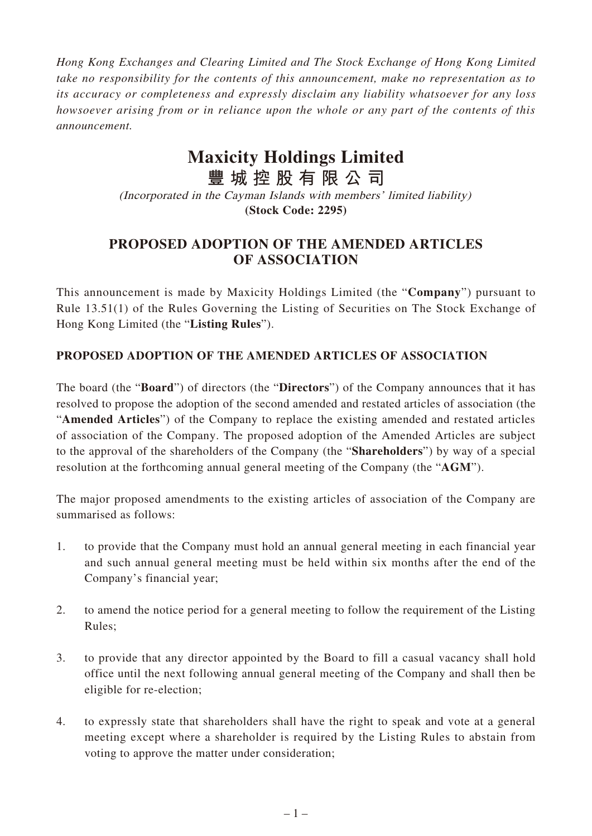*Hong Kong Exchanges and Clearing Limited and The Stock Exchange of Hong Kong Limited take no responsibility for the contents of this announcement, make no representation as to its accuracy or completeness and expressly disclaim any liability whatsoever for any loss howsoever arising from or in reliance upon the whole or any part of the contents of this announcement.*

## **Maxicity Holdings Limited**

**豐城控股有限公司** (Incorporated in the Cayman Islands with members' limited liability) **(Stock Code: 2295)**

## **PROPOSED ADOPTION OF THE AMENDED ARTICLES OF ASSOCIATION**

This announcement is made by Maxicity Holdings Limited (the "**Company**") pursuant to Rule 13.51(1) of the Rules Governing the Listing of Securities on The Stock Exchange of Hong Kong Limited (the "**Listing Rules**").

## **PROPOSED ADOPTION OF THE AMENDED ARTICLES OF ASSOCIATION**

The board (the "**Board**") of directors (the "**Directors**") of the Company announces that it has resolved to propose the adoption of the second amended and restated articles of association (the "**Amended Articles**") of the Company to replace the existing amended and restated articles of association of the Company. The proposed adoption of the Amended Articles are subject to the approval of the shareholders of the Company (the "**Shareholders**") by way of a special resolution at the forthcoming annual general meeting of the Company (the "**AGM**").

The major proposed amendments to the existing articles of association of the Company are summarised as follows:

- 1. to provide that the Company must hold an annual general meeting in each financial year and such annual general meeting must be held within six months after the end of the Company's financial year;
- 2. to amend the notice period for a general meeting to follow the requirement of the Listing Rules;
- 3. to provide that any director appointed by the Board to fill a casual vacancy shall hold office until the next following annual general meeting of the Company and shall then be eligible for re-election;
- 4. to expressly state that shareholders shall have the right to speak and vote at a general meeting except where a shareholder is required by the Listing Rules to abstain from voting to approve the matter under consideration;